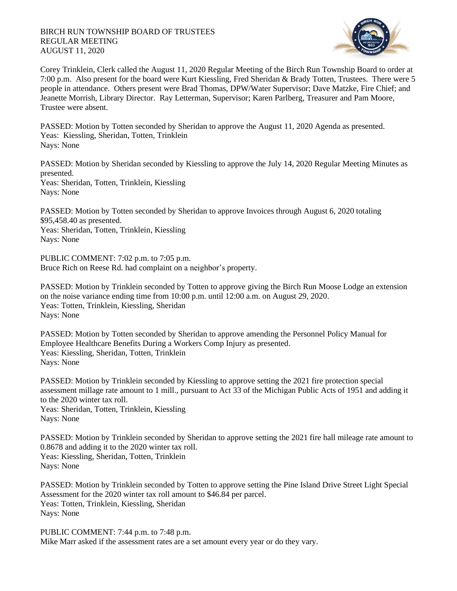## BIRCH RUN TOWNSHIP BOARD OF TRUSTEES REGULAR MEETING AUGUST 11, 2020



Corey Trinklein, Clerk called the August 11, 2020 Regular Meeting of the Birch Run Township Board to order at 7:00 p.m. Also present for the board were Kurt Kiessling, Fred Sheridan & Brady Totten, Trustees. There were 5 people in attendance. Others present were Brad Thomas, DPW/Water Supervisor; Dave Matzke, Fire Chief; and Jeanette Morrish, Library Director. Ray Letterman, Supervisor; Karen Parlberg, Treasurer and Pam Moore, Trustee were absent.

PASSED: Motion by Totten seconded by Sheridan to approve the August 11, 2020 Agenda as presented. Yeas: Kiessling, Sheridan, Totten, Trinklein Nays: None

PASSED: Motion by Sheridan seconded by Kiessling to approve the July 14, 2020 Regular Meeting Minutes as presented. Yeas: Sheridan, Totten, Trinklein, Kiessling Nays: None

PASSED: Motion by Totten seconded by Sheridan to approve Invoices through August 6, 2020 totaling \$95,458.40 as presented. Yeas: Sheridan, Totten, Trinklein, Kiessling Nays: None

PUBLIC COMMENT: 7:02 p.m. to 7:05 p.m. Bruce Rich on Reese Rd. had complaint on a neighbor's property.

PASSED: Motion by Trinklein seconded by Totten to approve giving the Birch Run Moose Lodge an extension on the noise variance ending time from 10:00 p.m. until 12:00 a.m. on August 29, 2020. Yeas: Totten, Trinklein, Kiessling, Sheridan Nays: None

PASSED: Motion by Totten seconded by Sheridan to approve amending the Personnel Policy Manual for Employee Healthcare Benefits During a Workers Comp Injury as presented. Yeas: Kiessling, Sheridan, Totten, Trinklein Nays: None

PASSED: Motion by Trinklein seconded by Kiessling to approve setting the 2021 fire protection special assessment millage rate amount to 1 mill., pursuant to Act 33 of the Michigan Public Acts of 1951 and adding it to the 2020 winter tax roll.

Yeas: Sheridan, Totten, Trinklein, Kiessling Nays: None

PASSED: Motion by Trinklein seconded by Sheridan to approve setting the 2021 fire hall mileage rate amount to 0.8678 and adding it to the 2020 winter tax roll. Yeas: Kiessling, Sheridan, Totten, Trinklein Nays: None

PASSED: Motion by Trinklein seconded by Totten to approve setting the Pine Island Drive Street Light Special Assessment for the 2020 winter tax roll amount to \$46.84 per parcel. Yeas: Totten, Trinklein, Kiessling, Sheridan Nays: None

PUBLIC COMMENT: 7:44 p.m. to 7:48 p.m. Mike Marr asked if the assessment rates are a set amount every year or do they vary.